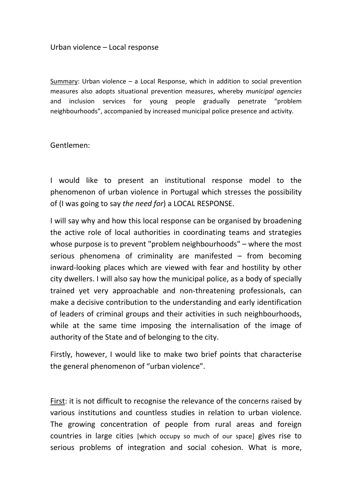## Urban violence – Local response

Summary: Urban violence – a Local Response, which in addition to social prevention measures also adopts situational prevention measures, whereby *municipal agencies*  and inclusion services for young people gradually penetrate "problem neighbourhoods", accompanied by increased municipal police presence and activity.

Gentlemen:

I would like to present an institutional response model to the phenomenon of urban violence in Portugal which stresses the possibility of (I was going to say *the need for*) a LOCAL RESPONSE.

I will say why and how this local response can be organised by broadening the active role of local authorities in coordinating teams and strategies whose purpose is to prevent "problem neighbourhoods" – where the most serious phenomena of criminality are manifested – from becoming inward-looking places which are viewed with fear and hostility by other city dwellers. I will also say how the municipal police, as a body of specially trained yet very approachable and non-threatening professionals, can make a decisive contribution to the understanding and early identification of leaders of criminal groups and their activities in such neighbourhoods, while at the same time imposing the internalisation of the image of authority of the State and of belonging to the city.

Firstly, however, I would like to make two brief points that characterise the general phenomenon of "urban violence".

First: it is not difficult to recognise the relevance of the concerns raised by various institutions and countless studies in relation to urban violence. The growing concentration of people from rural areas and foreign countries in large cities [which occupy so much of our space] gives rise to serious problems of integration and social cohesion. What is more,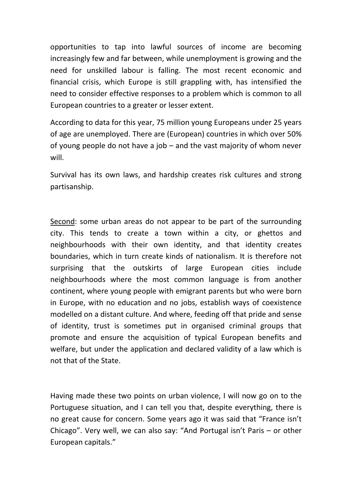opportunities to tap into lawful sources of income are becoming increasingly few and far between, while unemployment is growing and the need for unskilled labour is falling. The most recent economic and financial crisis, which Europe is still grappling with, has intensified the need to consider effective responses to a problem which is common to all European countries to a greater or lesser extent.

According to data for this year, 75 million young Europeans under 25 years of age are unemployed. There are (European) countries in which over 50% of young people do not have a job – and the vast majority of whom never will.

Survival has its own laws, and hardship creates risk cultures and strong partisanship.

Second: some urban areas do not appear to be part of the surrounding city. This tends to create a town within a city, or ghettos and neighbourhoods with their own identity, and that identity creates boundaries, which in turn create kinds of nationalism. It is therefore not surprising that the outskirts of large European cities include neighbourhoods where the most common language is from another continent, where young people with emigrant parents but who were born in Europe, with no education and no jobs, establish ways of coexistence modelled on a distant culture. And where, feeding off that pride and sense of identity, trust is sometimes put in organised criminal groups that promote and ensure the acquisition of typical European benefits and welfare, but under the application and declared validity of a law which is not that of the State.

Having made these two points on urban violence, I will now go on to the Portuguese situation, and I can tell you that, despite everything, there is no great cause for concern. Some years ago it was said that "France isn't Chicago". Very well, we can also say: "And Portugal isn't Paris – or other European capitals."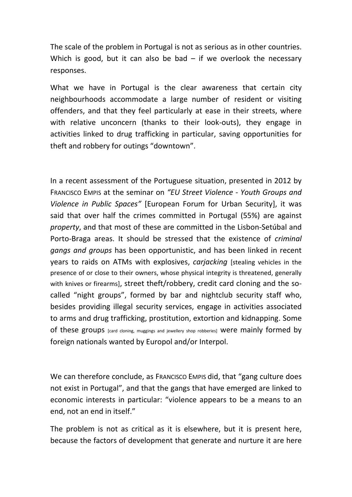The scale of the problem in Portugal is not as serious as in other countries. Which is good, but it can also be bad  $-$  if we overlook the necessary responses.

What we have in Portugal is the clear awareness that certain city neighbourhoods accommodate a large number of resident or visiting offenders, and that they feel particularly at ease in their streets, where with relative unconcern (thanks to their look-outs), they engage in activities linked to drug trafficking in particular, saving opportunities for theft and robbery for outings "downtown".

In a recent assessment of the Portuguese situation, presented in 2012 by FRANCISCO EMPIS at the seminar on *"EU Street Violence - Youth Groups and Violence in Public Spaces"* [European Forum for Urban Security], it was said that over half the crimes committed in Portugal (55%) are against *property*, and that most of these are committed in the Lisbon-Setúbal and Porto-Braga areas. It should be stressed that the existence of *criminal gangs and groups* has been opportunistic, and has been linked in recent years to raids on ATMs with explosives, *carjacking* [stealing vehicles in the presence of or close to their owners, whose physical integrity is threatened, generally with knives or firearms], street theft/robbery, credit card cloning and the socalled "night groups", formed by bar and nightclub security staff who, besides providing illegal security services, engage in activities associated to arms and drug trafficking, prostitution, extortion and kidnapping. Some of these groups [card cloning, muggings and jewellery shop robberies] were mainly formed by foreign nationals wanted by Europol and/or Interpol.

We can therefore conclude, as FRANCISCO EMPIS did, that "gang culture does not exist in Portugal", and that the gangs that have emerged are linked to economic interests in particular: "violence appears to be a means to an end, not an end in itself."

The problem is not as critical as it is elsewhere, but it is present here, because the factors of development that generate and nurture it are here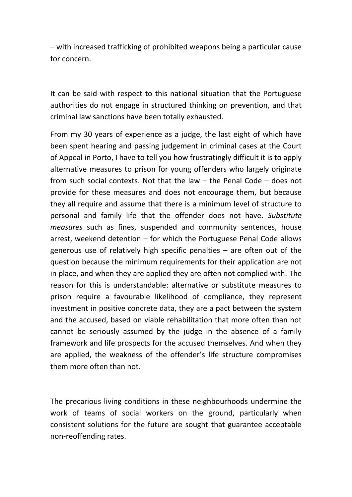– with increased trafficking of prohibited weapons being a particular cause for concern.

It can be said with respect to this national situation that the Portuguese authorities do not engage in structured thinking on prevention, and that criminal law sanctions have been totally exhausted.

From my 30 years of experience as a judge, the last eight of which have been spent hearing and passing judgement in criminal cases at the Court of Appeal in Porto, I have to tell you how frustratingly difficult it is to apply alternative measures to prison for young offenders who largely originate from such social contexts. Not that the law – the Penal Code – does not provide for these measures and does not encourage them, but because they all require and assume that there is a minimum level of structure to personal and family life that the offender does not have. *Substitute measures* such as fines, suspended and community sentences, house arrest, weekend detention – for which the Portuguese Penal Code allows generous use of relatively high specific penalties – are often out of the question because the minimum requirements for their application are not in place, and when they are applied they are often not complied with. The reason for this is understandable: alternative or substitute measures to prison require a favourable likelihood of compliance, they represent investment in positive concrete data, they are a pact between the system and the accused, based on viable rehabilitation that more often than not cannot be seriously assumed by the judge in the absence of a family framework and life prospects for the accused themselves. And when they are applied, the weakness of the offender's life structure compromises them more often than not.

The precarious living conditions in these neighbourhoods undermine the work of teams of social workers on the ground, particularly when consistent solutions for the future are sought that guarantee acceptable non-reoffending rates.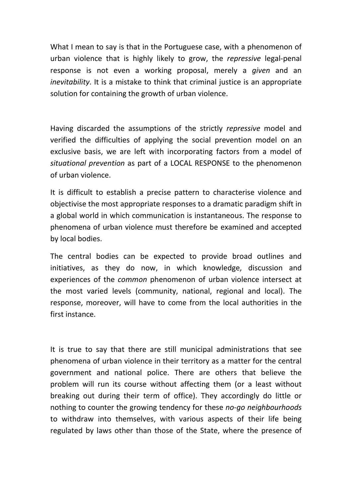What I mean to say is that in the Portuguese case, with a phenomenon of urban violence that is highly likely to grow, the *repressive* legal-penal response is not even a working proposal, merely a *given* and an *inevitability*. It is a mistake to think that criminal justice is an appropriate solution for containing the growth of urban violence.

Having discarded the assumptions of the strictly *repressive* model and verified the difficulties of applying the social prevention model on an exclusive basis, we are left with incorporating factors from a model of *situational prevention* as part of a LOCAL RESPONSE to the phenomenon of urban violence.

It is difficult to establish a precise pattern to characterise violence and objectivise the most appropriate responses to a dramatic paradigm shift in a global world in which communication is instantaneous. The response to phenomena of urban violence must therefore be examined and accepted by local bodies.

The central bodies can be expected to provide broad outlines and initiatives, as they do now, in which knowledge, discussion and experiences of the *common* phenomenon of urban violence intersect at the most varied levels (community, national, regional and local). The response, moreover, will have to come from the local authorities in the first instance.

It is true to say that there are still municipal administrations that see phenomena of urban violence in their territory as a matter for the central government and national police. There are others that believe the problem will run its course without affecting them (or a least without breaking out during their term of office). They accordingly do little or nothing to counter the growing tendency for these *no-go neighbourhoods* to withdraw into themselves, with various aspects of their life being regulated by laws other than those of the State, where the presence of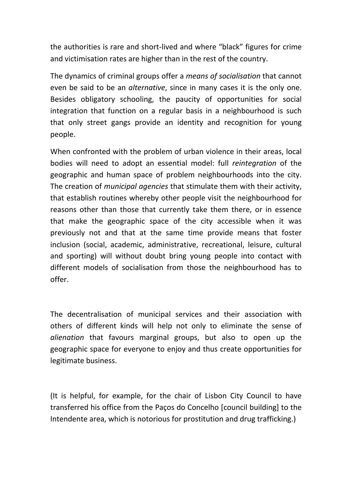the authorities is rare and short-lived and where "black" figures for crime and victimisation rates are higher than in the rest of the country.

The dynamics of criminal groups offer a *means of socialisation* that cannot even be said to be an *alternative*, since in many cases it is the only one. Besides obligatory schooling, the paucity of opportunities for social integration that function on a regular basis in a neighbourhood is such that only street gangs provide an identity and recognition for young people.

When confronted with the problem of urban violence in their areas, local bodies will need to adopt an essential model: full *reintegration* of the geographic and human space of problem neighbourhoods into the city. The creation of *municipal agencies* that stimulate them with their activity, that establish routines whereby other people visit the neighbourhood for reasons other than those that currently take them there, or in essence that make the geographic space of the city accessible when it was previously not and that at the same time provide means that foster inclusion (social, academic, administrative, recreational, leisure, cultural and sporting) will without doubt bring young people into contact with different models of socialisation from those the neighbourhood has to offer.

The decentralisation of municipal services and their association with others of different kinds will help not only to eliminate the sense of *alienation* that favours marginal groups, but also to open up the geographic space for everyone to enjoy and thus create opportunities for legitimate business.

(It is helpful, for example, for the chair of Lisbon City Council to have transferred his office from the Paços do Concelho [council building] to the Intendente area, which is notorious for prostitution and drug trafficking.)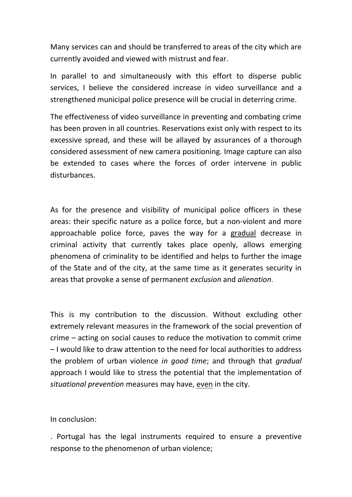Many services can and should be transferred to areas of the city which are currently avoided and viewed with mistrust and fear.

In parallel to and simultaneously with this effort to disperse public services, I believe the considered increase in video surveillance and a strengthened municipal police presence will be crucial in deterring crime.

The effectiveness of video surveillance in preventing and combating crime has been proven in all countries. Reservations exist only with respect to its excessive spread, and these will be allayed by assurances of a thorough considered assessment of new camera positioning. Image capture can also be extended to cases where the forces of order intervene in public disturbances.

As for the presence and visibility of municipal police officers in these areas: their specific nature as a police force, but a non-violent and more approachable police force, paves the way for a gradual decrease in criminal activity that currently takes place openly, allows emerging phenomena of criminality to be identified and helps to further the image of the State and of the city, at the same time as it generates security in areas that provoke a sense of permanent *exclusion* and *alienation*.

This is my contribution to the discussion. Without excluding other extremely relevant measures in the framework of the social prevention of crime – acting on social causes to reduce the motivation to commit crime – I would like to draw attention to the need for local authorities to address the problem of urban violence *in good time*; and through that *gradual* approach I would like to stress the potential that the implementation of *situational prevention* measures may have, even in the city.

In conclusion:

. Portugal has the legal instruments required to ensure a preventive response to the phenomenon of urban violence;